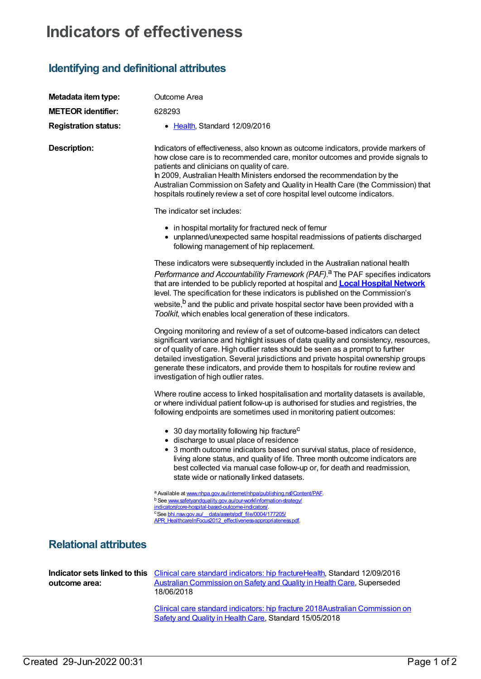## **Indicators of effectiveness**

## **Identifying and definitional attributes**

| Metadata item type:                            | Outcome Area                                                                                                                                                                                                                                                                                                                                                                                                                                                                                                          |
|------------------------------------------------|-----------------------------------------------------------------------------------------------------------------------------------------------------------------------------------------------------------------------------------------------------------------------------------------------------------------------------------------------------------------------------------------------------------------------------------------------------------------------------------------------------------------------|
| <b>METEOR identifier:</b>                      | 628293                                                                                                                                                                                                                                                                                                                                                                                                                                                                                                                |
| <b>Registration status:</b>                    | • Health, Standard 12/09/2016                                                                                                                                                                                                                                                                                                                                                                                                                                                                                         |
| <b>Description:</b>                            | Indicators of effectiveness, also known as outcome indicators, provide markers of<br>how close care is to recommended care, monitor outcomes and provide signals to<br>patients and clinicians on quality of care.<br>In 2009, Australian Health Ministers endorsed the recommendation by the<br>Australian Commission on Safety and Quality in Health Care (the Commission) that<br>hospitals routinely review a set of core hospital level outcome indicators.                                                      |
|                                                | The indicator set includes:                                                                                                                                                                                                                                                                                                                                                                                                                                                                                           |
|                                                | • in hospital mortality for fractured neck of femur<br>• unplanned/unexpected same hospital readmissions of patients discharged<br>following management of hip replacement.                                                                                                                                                                                                                                                                                                                                           |
|                                                | These indicators were subsequently included in the Australian national health<br>Performance and Accountability Framework (PAF). <sup>a</sup> The PAF specifies indicators<br>that are intended to be publicly reported at hospital and <b>Local Hospital Network</b><br>level. The specification for these indicators is published on the Commission's<br>website, <sup>b</sup> and the public and private hospital sector have been provided with a<br>Toolkit, which enables local generation of these indicators. |
|                                                | Ongoing monitoring and review of a set of outcome-based indicators can detect<br>significant variance and highlight issues of data quality and consistency, resources,<br>or of quality of care. High outlier rates should be seen as a prompt to further<br>detailed investigation. Several jurisdictions and private hospital ownership groups<br>generate these indicators, and provide them to hospitals for routine review and<br>investigation of high outlier rates.                                           |
|                                                | Where routine access to linked hospitalisation and mortality datasets is available,<br>or where individual patient follow-up is authorised for studies and registries, the<br>following endpoints are sometimes used in monitoring patient outcomes:                                                                                                                                                                                                                                                                  |
|                                                | • 30 day mortality following hip fracture <sup>C</sup><br>• discharge to usual place of residence<br>• 3 month outcome indicators based on survival status, place of residence,<br>living alone status, and quality of life. Three month outcome indicators are<br>best collected via manual case follow-up or, for death and readmission,<br>state wide or nationally linked datasets.                                                                                                                               |
|                                                | a Available at www.nhpa.gov.au/internet/nhpa/publishing.nsf/Content/PAF.<br>b See www.safetyandquality.gov.au/our-work/information-strategy/<br>indicators/core-hospital-based-outcome-indicators/<br>° See bhi.nsw.gov.au/ data/assets/pdf file/0004/177205/<br>APR HealthcareInFocus2012 effectiveness-appropriateness.pdf.                                                                                                                                                                                         |
| <b>Relational attributes</b>                   |                                                                                                                                                                                                                                                                                                                                                                                                                                                                                                                       |
| Indicator sets linked to this<br>outcome area: | Clinical care standard indicators: hip fractureHealth, Standard 12/09/2016<br><b>Australian Commission on Safety and Quality in Health Care, Superseded</b><br>18/06/2018                                                                                                                                                                                                                                                                                                                                             |

Clinical care standard [indicators:](https://meteor.aihw.gov.au/content/696424) hip fracture [2018Australian](https://meteor.aihw.gov.au/RegistrationAuthority/18) Commission on Safety and Quality in Health Care, Standard 15/05/2018